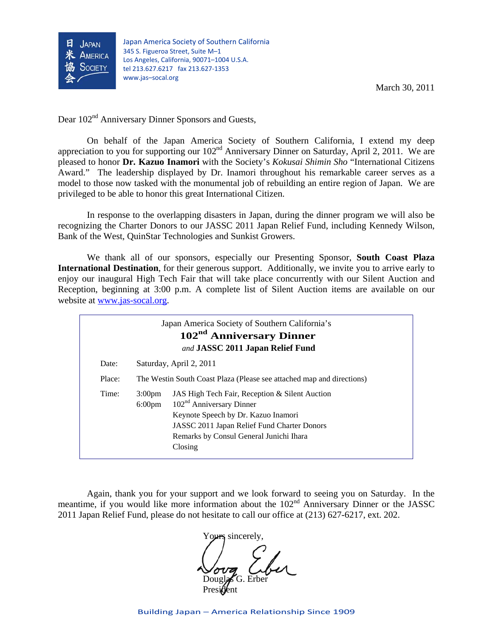

March 30, 2011

Dear  $102<sup>nd</sup>$  Anniversary Dinner Sponsors and Guests,

On behalf of the Japan America Society of Southern California, I extend my deep appreciation to you for supporting our 102<sup>nd</sup> Anniversary Dinner on Saturday, April 2, 2011. We are pleased to honor **Dr. Kazuo Inamori** with the Society's *Kokusai Shimin Sho* "International Citizens Award." The leadership displayed by Dr. Inamori throughout his remarkable career serves as a model to those now tasked with the monumental job of rebuilding an entire region of Japan. We are privileged to be able to honor this great International Citizen.

In response to the overlapping disasters in Japan, during the dinner program we will also be recognizing the Charter Donors to our JASSC 2011 Japan Relief Fund, including Kennedy Wilson, Bank of the West, QuinStar Technologies and Sunkist Growers.

 We thank all of our sponsors, especially our Presenting Sponsor, **South Coast Plaza International Destination**, for their generous support. Additionally, we invite you to arrive early to enjoy our inaugural High Tech Fair that will take place concurrently with our Silent Auction and Reception, beginning at 3:00 p.m. A complete list of Silent Auction items are available on our website at [www.jas-socal.org](http://www.jas-socal.org/).

| Japan America Society of Southern California's<br>102 <sup>nd</sup> Anniversary Dinner<br>and JASSC 2011 Japan Relief Fund |        |                                                                                                  |                                                                                                                                                                                                                          |
|----------------------------------------------------------------------------------------------------------------------------|--------|--------------------------------------------------------------------------------------------------|--------------------------------------------------------------------------------------------------------------------------------------------------------------------------------------------------------------------------|
|                                                                                                                            | Date:  | Saturday, April 2, 2011<br>The Westin South Coast Plaza (Please see attached map and directions) |                                                                                                                                                                                                                          |
|                                                                                                                            | Place: |                                                                                                  |                                                                                                                                                                                                                          |
|                                                                                                                            | Time:  | 3:00 <sub>pm</sub><br>$6:00 \text{pm}$                                                           | JAS High Tech Fair, Reception & Silent Auction<br>$102nd$ Anniversary Dinner<br>Keynote Speech by Dr. Kazuo Inamori<br>JASSC 2011 Japan Relief Fund Charter Donors<br>Remarks by Consul General Junichi Ihara<br>Closing |

Again, thank you for your support and we look forward to seeing you on Saturday. In the meantime, if you would like more information about the 102<sup>nd</sup> Anniversary Dinner or the JASSC 2011 Japan Relief Fund, please do not hesitate to call our office at (213) 627-6217, ext. 202.

Yours sincerely. Douglas G. Erber President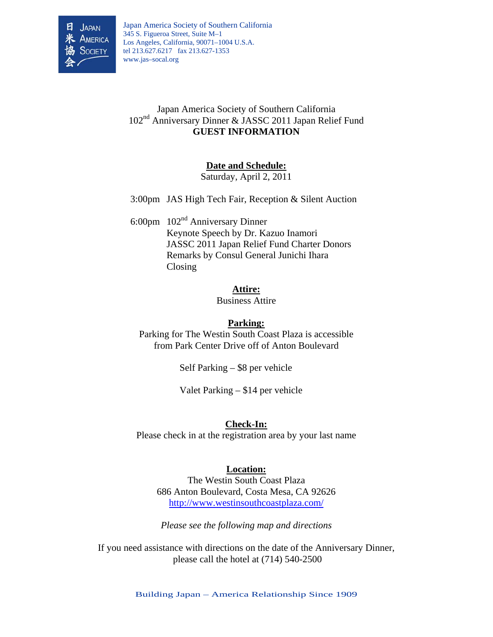

Japan America Society of Southern California 345 S. Figueroa Street, Suite M–1 Los Angeles, California, 90071–1004 U.S.A. tel 213.627.6217 fax 213.627-1353 www.jas–socal.org Î

## Japan America Society of Southern California 102nd Anniversary Dinner & JASSC 2011 Japan Relief Fund **GUEST INFORMATION**

### **Date and Schedule:**

Saturday, April 2, 2011

3:00pm JAS High Tech Fair, Reception & Silent Auction

 6:00pm 102nd Anniversary Dinner Keynote Speech by Dr. Kazuo Inamori JASSC 2011 Japan Relief Fund Charter Donors Remarks by Consul General Junichi Ihara Closing

#### **Attire:**

Business Attire

### **Parking:**

Parking for The Westin South Coast Plaza is accessible from Park Center Drive off of Anton Boulevard

Self Parking – \$8 per vehicle

Valet Parking – \$14 per vehicle

### **Check-In:**

Please check in at the registration area by your last name

### **Location:**

The Westin South Coast Plaza 686 Anton Boulevard, Costa Mesa, CA 92626 <http://www.westinsouthcoastplaza.com/>

*Please see the following map and directions* 

If you need assistance with directions on the date of the Anniversary Dinner, please call the hotel at (714) 540-2500

Building Japan – America Relationship Since 1909